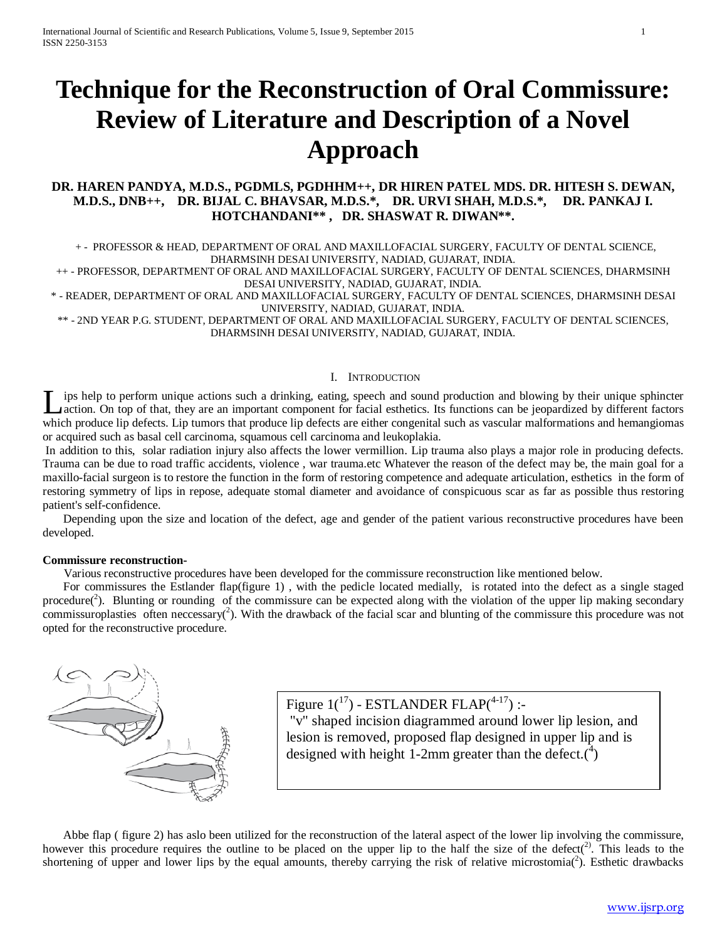# **Technique for the Reconstruction of Oral Commissure: Review of Literature and Description of a Novel Approach**

### **DR. HAREN PANDYA, M.D.S., PGDMLS, PGDHHM++, DR HIREN PATEL MDS. DR. HITESH S. DEWAN, M.D.S., DNB++, DR. BIJAL C. BHAVSAR, M.D.S.\*, DR. URVI SHAH, M.D.S.\*, DR. PANKAJ I. HOTCHANDANI\*\* , DR. SHASWAT R. DIWAN\*\*.**

 + - PROFESSOR & HEAD, DEPARTMENT OF ORAL AND MAXILLOFACIAL SURGERY, FACULTY OF DENTAL SCIENCE, DHARMSINH DESAI UNIVERSITY, NADIAD, GUJARAT, INDIA.

++ - PROFESSOR, DEPARTMENT OF ORAL AND MAXILLOFACIAL SURGERY, FACULTY OF DENTAL SCIENCES, DHARMSINH DESAI UNIVERSITY, NADIAD, GUJARAT, INDIA.

\* - READER, DEPARTMENT OF ORAL AND MAXILLOFACIAL SURGERY, FACULTY OF DENTAL SCIENCES, DHARMSINH DESAI UNIVERSITY, NADIAD, GUJARAT, INDIA.

\*\* - 2ND YEAR P.G. STUDENT, DEPARTMENT OF ORAL AND MAXILLOFACIAL SURGERY, FACULTY OF DENTAL SCIENCES, DHARMSINH DESAI UNIVERSITY, NADIAD, GUJARAT, INDIA.

#### I. INTRODUCTION

ips help to perform unique actions such a drinking, eating, speech and sound production and blowing by their unique sphincter action. On top of that, they are an important component for facial esthetics. Its functions can be jeopardized by different factors Lips help to perform unique actions such a drinking, eating, speech and sound production and blowing by their unique sphincter action. On top of that, they are an important component for facial esthetics. Its functions can or acquired such as basal cell carcinoma, squamous cell carcinoma and leukoplakia.

In addition to this, solar radiation injury also affects the lower vermillion. Lip trauma also plays a major role in producing defects. Trauma can be due to road traffic accidents, violence , war trauma.etc Whatever the reason of the defect may be, the main goal for a maxillo-facial surgeon is to restore the function in the form of restoring competence and adequate articulation, esthetics in the form of restoring symmetry of lips in repose, adequate stomal diameter and avoidance of conspicuous scar as far as possible thus restoring patient's self-confidence.

 Depending upon the size and location of the defect, age and gender of the patient various reconstructive procedures have been developed.

#### **Commissure reconstruction-**

Various reconstructive procedures have been developed for the commissure reconstruction like mentioned below.

 For commissures the Estlander flap(figure 1) , with the pedicle located medially, is rotated into the defect as a single staged procedure( $2$ ). Blunting or rounding of the commissure can be expected along with the violation of the upper lip making secondary commissuroplasties often neccessary( $\hat{c}$ ). With the drawback of the facial scar and blunting of the commissure this procedure was not opted for the reconstructive procedure.



Figure  $1(^{17})$  - ESTLANDER FLAP $(^{4\text{-}17})$  :-"v" shaped incision diagrammed around lower lip lesion, and lesion is removed, proposed flap designed in upper lip and is designed with height 1-2mm greater than the defect. $\binom{4}{1}$ 

 Abbe flap ( figure 2) has aslo been utilized for the reconstruction of the lateral aspect of the lower lip involving the commissure, however this procedure requires the outline to be placed on the upper lip to the half the size of the defect( $^{2}$ ). This leads to the shortening of upper and lower lips by the equal amounts, thereby carrying the risk of relative microstomia( $2$ ). Esthetic drawbacks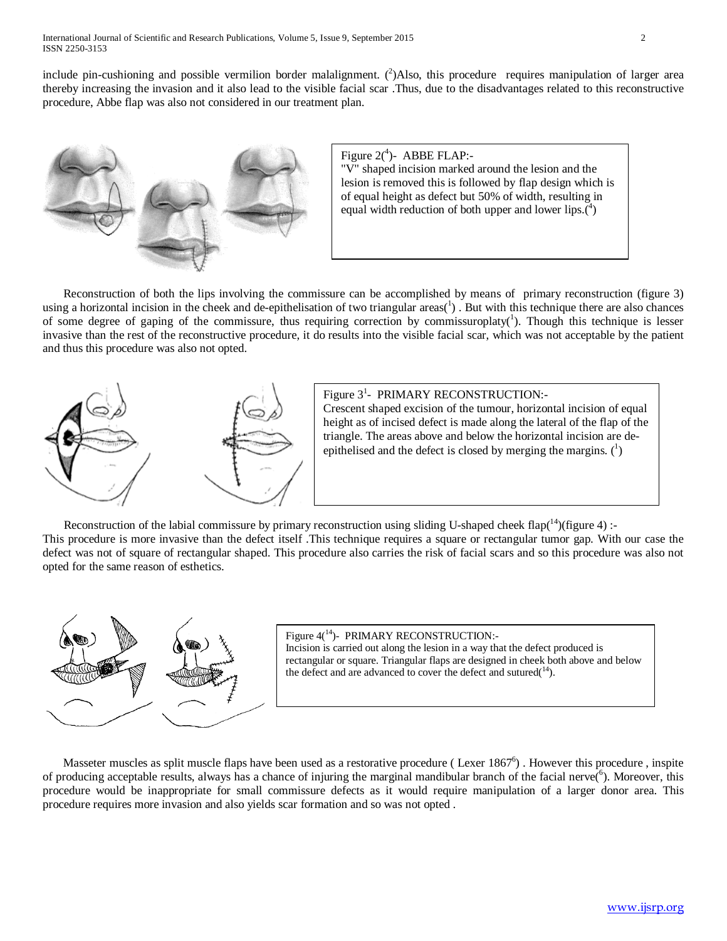include pin-cushioning and possible vermilion border malalignment.  $(^2)$ Also, this procedure requires manipulation of larger area thereby increasing the invasion and it also lead to the visible facial scar .Thus, due to the disadvantages related to this reconstructive procedure, Abbe flap was also not considered in our treatment plan.



Figure  $2(^4)$ - ABBE FLAP:-"V" shaped incision marked around the lesion and the lesion is removed this is followed by flap design which is of equal height as defect but 50% of width, resulting in equal width reduction of both upper and lower lips. $(4)$ 

 Reconstruction of both the lips involving the commissure can be accomplished by means of primary reconstruction (figure 3) using a horizontal incision in the cheek and de-epithelisation of two triangular  $a\text{res}(1)$ . But with this technique there are also chances of some degree of gaping of the commissure, thus requiring correction by commissuroplaty( $\frac{1}{1}$ ). Though this technique is lesser invasive than the rest of the reconstructive procedure, it do results into the visible facial scar, which was not acceptable by the patient and thus this procedure was also not opted.



Figure 3<sup>1</sup>- PRIMARY RECONSTRUCTION:-Crescent shaped excision of the tumour, horizontal incision of equal height as of incised defect is made along the lateral of the flap of the triangle. The areas above and below the horizontal incision are deepithelised and the defect is closed by merging the margins.  $(^{1})$ 

Reconstruction of the labial commissure by primary reconstruction using sliding U-shaped cheek flap( $14$ )(figure 4) :-This procedure is more invasive than the defect itself .This technique requires a square or rectangular tumor gap. With our case the defect was not of square of rectangular shaped. This procedure also carries the risk of facial scars and so this procedure was also not opted for the same reason of esthetics.



Figure 4(<sup>14</sup>)- PRIMARY RECONSTRUCTION:-Incision is carried out along the lesion in a way that the defect produced is rectangular or square. Triangular flaps are designed in cheek both above and below the defect and are advanced to cover the defect and sutured( $14$ ).

Masseter muscles as split muscle flaps have been used as a restorative procedure (Lexer  $1867<sup>6</sup>$ ). However this procedure, inspite of producing acceptable results, always has a chance of injuring the marginal mandibular branch of the facial nerve(<sup>6</sup>). Moreover, this procedure would be inappropriate for small commissure defects as it would require manipulation of a larger donor area. This procedure requires more invasion and also yields scar formation and so was not opted .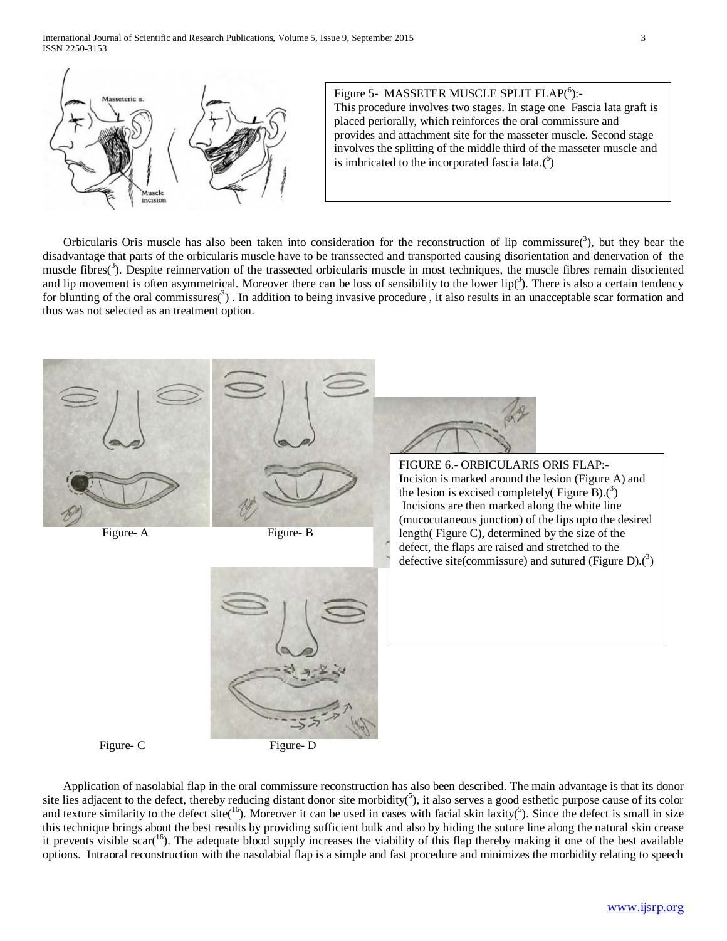International Journal of Scientific and Research Publications, Volume 5, Issue 9, September 2015 3 ISSN 2250-3153



Orbicularis Oris muscle has also been taken into consideration for the reconstruction of lip commissure( $3$ ), but they bear the disadvantage that parts of the orbicularis muscle have to be transsected and transported causing disorientation and denervation of the muscle fibres(<sup>3</sup>). Despite reinnervation of the trassected orbicularis muscle in most techniques, the muscle fibres remain disoriented and lip movement is often asymmetrical. Moreover there can be loss of sensibility to the lower lip( $3$ ). There is also a certain tendency for blunting of the oral commissures( $3$ ). In addition to being invasive procedure, it also results in an unacceptable scar formation and thus was not selected as an treatment option.





 Application of nasolabial flap in the oral commissure reconstruction has also been described. The main advantage is that its donor site lies adjacent to the defect, thereby reducing distant donor site morbidity( $5$ ), it also serves a good esthetic purpose cause of its color and texture similarity to the defect site( $16$ ). Moreover it can be used in cases with facial skin laxity( $5$ ). Since the defect is small in size this technique brings about the best results by providing sufficient bulk and also by hiding the suture line along the natural skin crease it prevents visible scar( $^{16}$ ). The adequate blood supply increases the viability of this flap thereby making it one of the best available options. Intraoral reconstruction with the nasolabial flap is a simple and fast procedure and minimizes the morbidity relating to speech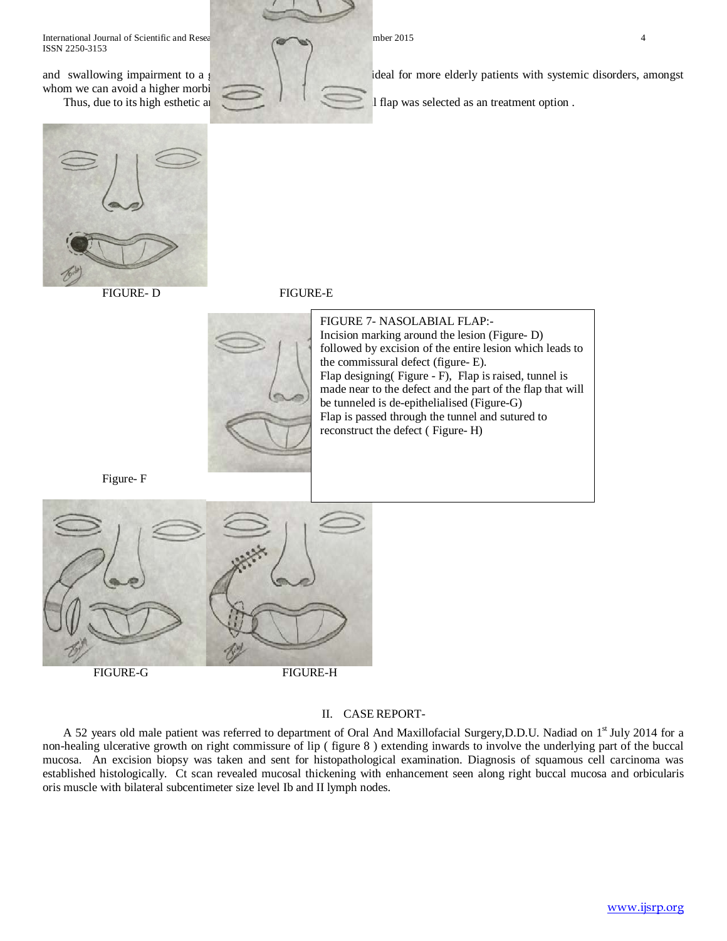International Journal of Scientific and Research Publications, Volume 5, 2015 4, 2015 4, September 2015 4, September 2015 4, September 2015 4, September 2015 4, September 2015 4, September 2015 4, September 2015 4, Septemb ISSN 2250-3153

and swallowing impairment to a whom we can avoid a higher morbi



deal for more elderly patients with systemic disorders, amongst

Thus, due to its high esthetic and  $\overline{a}$  if and  $\overline{a}$  if and  $\overline{a}$  if and  $\overline{a}$  if and  $\overline{a}$  if and  $\overline{a}$  if and  $\overline{a}$  if and  $\overline{a}$  if and  $\overline{a}$  if and  $\overline{a}$  if and  $\overline{a}$  if and  $\overline{a}$  i



FIGURE- D FIGURE-E





FIGURE 7- NASOLABIAL FLAP:- Incision marking around the lesion (Figure- D) followed by excision of the entire lesion which leads to the commissural defect (figure- E). Flap designing( Figure - F), Flap is raised, tunnel is made near to the defect and the part of the flap that will be tunneled is de-epithelialised (Figure-G) Flap is passed through the tunnel and sutured to reconstruct the defect ( Figure- H)

Figure- F



## II. CASE REPORT-

A 52 years old male patient was referred to department of Oral And Maxillofacial Surgery,D.D.U. Nadiad on 1<sup>st</sup> July 2014 for a non-healing ulcerative growth on right commissure of lip ( figure 8 ) extending inwards to involve the underlying part of the buccal mucosa. An excision biopsy was taken and sent for histopathological examination. Diagnosis of squamous cell carcinoma was established histologically. Ct scan revealed mucosal thickening with enhancement seen along right buccal mucosa and orbicularis oris muscle with bilateral subcentimeter size level Ib and II lymph nodes.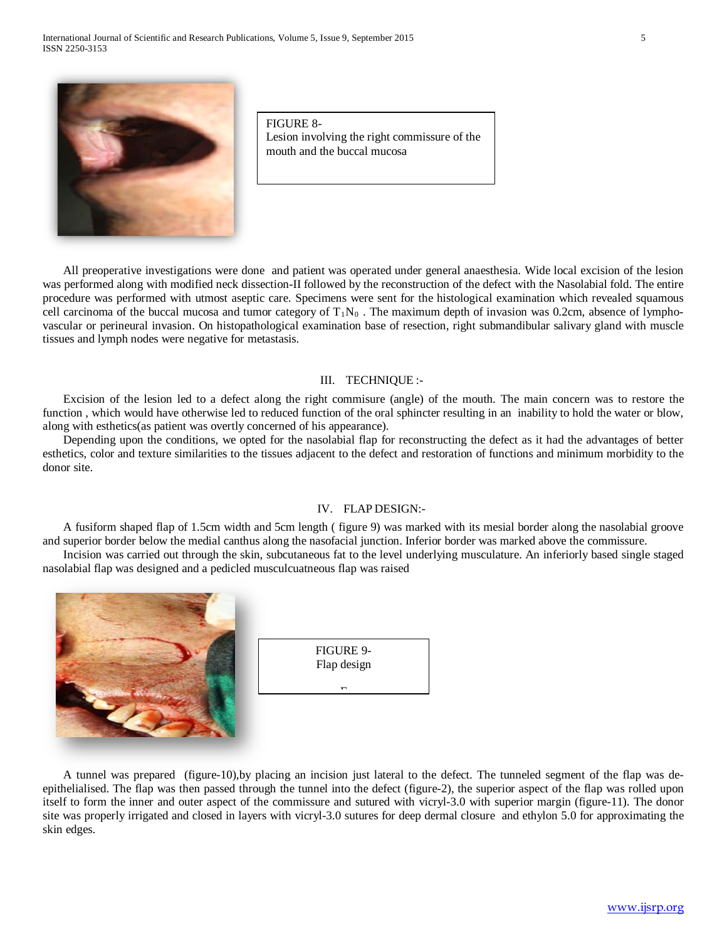

FIGURE 8- Lesion involving the right commissure of the mouth and the buccal mucosa

 All preoperative investigations were done and patient was operated under general anaesthesia. Wide local excision of the lesion was performed along with modified neck dissection-II followed by the reconstruction of the defect with the Nasolabial fold. The entire procedure was performed with utmost aseptic care. Specimens were sent for the histological examination which revealed squamous cell carcinoma of the buccal mucosa and tumor category of  $T_1N_0$ . The maximum depth of invasion was 0.2cm, absence of lymphovascular or perineural invasion. On histopathological examination base of resection, right submandibular salivary gland with muscle tissues and lymph nodes were negative for metastasis.

#### III. TECHNIQUE :-

 Excision of the lesion led to a defect along the right commisure (angle) of the mouth. The main concern was to restore the function, which would have otherwise led to reduced function of the oral sphincter resulting in an inability to hold the water or blow, along with esthetics(as patient was overtly concerned of his appearance).

 Depending upon the conditions, we opted for the nasolabial flap for reconstructing the defect as it had the advantages of better esthetics, color and texture similarities to the tissues adjacent to the defect and restoration of functions and minimum morbidity to the donor site.

#### IV. FLAP DESIGN:-

 A fusiform shaped flap of 1.5cm width and 5cm length ( figure 9) was marked with its mesial border along the nasolabial groove and superior border below the medial canthus along the nasofacial junction. Inferior border was marked above the commissure.

 Incision was carried out through the skin, subcutaneous fat to the level underlying musculature. An inferiorly based single staged nasolabial flap was designed and a pedicled musculcuatneous flap was raised





 A tunnel was prepared (figure-10),by placing an incision just lateral to the defect. The tunneled segment of the flap was deepithelialised. The flap was then passed through the tunnel into the defect (figure-2), the superior aspect of the flap was rolled upon itself to form the inner and outer aspect of the commissure and sutured with vicryl-3.0 with superior margin (figure-11). The donor site was properly irrigated and closed in layers with vicryl-3.0 sutures for deep dermal closure and ethylon 5.0 for approximating the skin edges.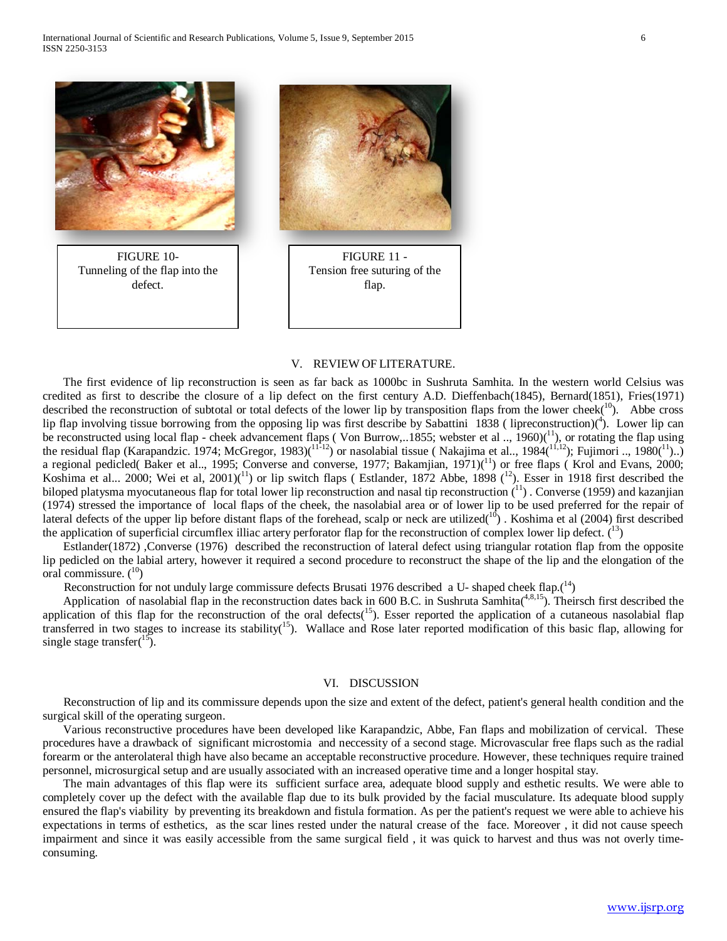

#### V. REVIEW OF LITERATURE.

 The first evidence of lip reconstruction is seen as far back as 1000bc in Sushruta Samhita. In the western world Celsius was credited as first to describe the closure of a lip defect on the first century A.D. Dieffenbach(1845), Bernard(1851), Fries(1971) described the reconstruction of subtotal or total defects of the lower lip by transposition flaps from the lower cheek( $^{10}$ ). Abbe cross lip flap involving tissue borrowing from the opposing lip was first describe by Sabattini 1838 (lipreconstruction)(<sup>4</sup>). Lower lip can be reconstructed using local flap - cheek advancement flaps (Von Burrow,..1855; webster et al.,  $1960$ ) $(^{11}$ ), or rotating the flap using the residual flap (Karapandzic. 1974; McGregor, 1983)( $11\overline{112}$ ) or nasolabial tissue (Nakajima et al.., 1984( $11,12$ ); Fujimori .., 1980( $11$ )..) a regional pedicled( Baker et al.., 1995; Converse and converse, 1977; Bakamjian,  $1971$ )<sup>(11</sup>) or free flaps ( Krol and Evans, 2000; Koshima et al... 2000; Wei et al, 2001)(<sup>11</sup>) or lip switch flaps (Estlander, 1872 Abbe, 1898 (<sup>12</sup>). Esser in 1918 first described the biloped platysma myocutaneous flap for total lower lip reconstruction and nasal tip reconstruction  $({}^{11})$ . Converse (1959) and kazanjian (1974) stressed the importance of local flaps of the cheek, the nasolabial area or of lower lip to be used preferred for the repair of lateral defects of the upper lip before distant flaps of the forehead, scalp or neck are utilized( $10$ ). Koshima et al (2004) first described the application of superficial circumflex illiac artery perforator flap for the reconstruction of complex lower lip defect.  $\binom{13}{2}$ 

 Estlander(1872) ,Converse (1976) described the reconstruction of lateral defect using triangular rotation flap from the opposite lip pedicled on the labial artery, however it required a second procedure to reconstruct the shape of the lip and the elongation of the oral commissure.  $(10)$ 

Reconstruction for not unduly large commissure defects Brusati 1976 described a U- shaped cheek flap. $(14)$ 

Application of nasolabial flap in the reconstruction dates back in 600 B.C. in Sushruta Samhita $(4,8,15)$ . Theirsch first described the application of this flap for the reconstruction of the oral defects( $15$ ). Esser reported the application of a cutaneous nasolabial flap transferred in two stages to increase its stability<sup>(15</sup>). Wallace and Rose later reported modification of this basic flap, allowing for single stage transfer $^{15}$ ).

#### VI. DISCUSSION

 Reconstruction of lip and its commissure depends upon the size and extent of the defect, patient's general health condition and the surgical skill of the operating surgeon.

 Various reconstructive procedures have been developed like Karapandzic, Abbe, Fan flaps and mobilization of cervical. These procedures have a drawback of significant microstomia and neccessity of a second stage. Microvascular free flaps such as the radial forearm or the anterolateral thigh have also became an acceptable reconstructive procedure. However, these techniques require trained personnel, microsurgical setup and are usually associated with an increased operative time and a longer hospital stay.

 The main advantages of this flap were its sufficient surface area, adequate blood supply and esthetic results. We were able to completely cover up the defect with the available flap due to its bulk provided by the facial musculature. Its adequate blood supply ensured the flap's viability by preventing its breakdown and fistula formation. As per the patient's request we were able to achieve his expectations in terms of esthetics, as the scar lines rested under the natural crease of the face. Moreover , it did not cause speech impairment and since it was easily accessible from the same surgical field , it was quick to harvest and thus was not overly timeconsuming.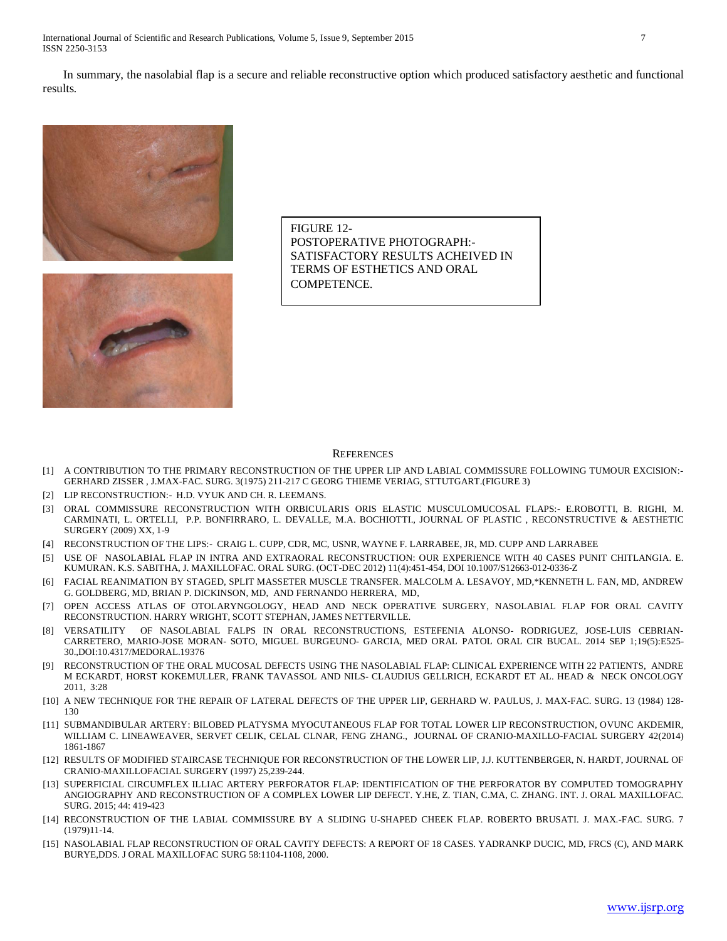International Journal of Scientific and Research Publications, Volume 5, Issue 9, September 2015 7 ISSN 2250-3153

 In summary, the nasolabial flap is a secure and reliable reconstructive option which produced satisfactory aesthetic and functional results.





FIGURE 12- POSTOPERATIVE PHOTOGRAPH:- SATISFACTORY RESULTS ACHEIVED IN TERMS OF ESTHETICS AND ORAL COMPETENCE.

#### **REFERENCES**

- [1] A CONTRIBUTION TO THE PRIMARY RECONSTRUCTION OF THE UPPER LIP AND LABIAL COMMISSURE FOLLOWING TUMOUR EXCISION:- GERHARD ZISSER , J.MAX-FAC. SURG. 3(1975) 211-217 C GEORG THIEME VERIAG, STTUTGART.(FIGURE 3)
- [2] LIP RECONSTRUCTION:- H.D. VYUK AND CH. R. LEEMANS.
- [3] ORAL COMMISSURE RECONSTRUCTION WITH ORBICULARIS ORIS ELASTIC MUSCULOMUCOSAL FLAPS:- E.ROBOTTI, B. RIGHI, M. CARMINATI, L. ORTELLI, P.P. BONFIRRARO, L. DEVALLE, M.A. BOCHIOTTI., JOURNAL OF PLASTIC , RECONSTRUCTIVE & AESTHETIC SURGERY (2009) XX, 1-9
- [4] RECONSTRUCTION OF THE LIPS:- CRAIG L. CUPP, CDR, MC, USNR, WAYNE F. LARRABEE, JR, MD. CUPP AND LARRABEE
- [5] USE OF NASOLABIAL FLAP IN INTRA AND EXTRAORAL RECONSTRUCTION: OUR EXPERIENCE WITH 40 CASES PUNIT CHITLANGIA. E. KUMURAN. K.S. SABITHA, J. MAXILLOFAC. ORAL SURG. (OCT-DEC 2012) 11(4):451-454, DOI 10.1007/S12663-012-0336-Z
- [6] FACIAL REANIMATION BY STAGED, SPLIT MASSETER MUSCLE TRANSFER. MALCOLM A. LESAVOY, MD,\*KENNETH L. FAN, MD, ANDREW G. GOLDBERG, MD, BRIAN P. DICKINSON, MD, AND FERNANDO HERRERA, MD,
- [7] OPEN ACCESS ATLAS OF OTOLARYNGOLOGY, HEAD AND NECK OPERATIVE SURGERY, NASOLABIAL FLAP FOR ORAL CAVITY RECONSTRUCTION. HARRY WRIGHT, SCOTT STEPHAN, JAMES NETTERVILLE.
- [8] VERSATILITY OF NASOLABIAL FALPS IN ORAL RECONSTRUCTIONS, ESTEFENIA ALONSO- RODRIGUEZ, JOSE-LUIS CEBRIAN-CARRETERO, MARIO-JOSE MORAN- SOTO, MIGUEL BURGEUNO- GARCIA, MED ORAL PATOL ORAL CIR BUCAL. 2014 SEP 1;19(5):E525- 30.,DOI:10.4317/MEDORAL.19376
- [9] RECONSTRUCTION OF THE ORAL MUCOSAL DEFECTS USING THE NASOLABIAL FLAP: CLINICAL EXPERIENCE WITH 22 PATIENTS, ANDRE M ECKARDT, HORST KOKEMULLER, FRANK TAVASSOL AND NILS- CLAUDIUS GELLRICH, ECKARDT ET AL. HEAD & NECK ONCOLOGY 2011, 3:28
- [10] A NEW TECHNIQUE FOR THE REPAIR OF LATERAL DEFECTS OF THE UPPER LIP, GERHARD W. PAULUS, J. MAX-FAC. SURG. 13 (1984) 128- 130
- [11] SUBMANDIBULAR ARTERY: BILOBED PLATYSMA MYOCUTANEOUS FLAP FOR TOTAL LOWER LIP RECONSTRUCTION, OVUNC AKDEMIR, WILLIAM C. LINEAWEAVER, SERVET CELIK, CELAL CLNAR, FENG ZHANG., JOURNAL OF CRANIO-MAXILLO-FACIAL SURGERY 42(2014) 1861-1867
- [12] RESULTS OF MODIFIED STAIRCASE TECHNIQUE FOR RECONSTRUCTION OF THE LOWER LIP, J.J. KUTTENBERGER, N. HARDT, JOURNAL OF CRANIO-MAXILLOFACIAL SURGERY (1997) 25,239-244.
- [13] SUPERFICIAL CIRCUMFLEX ILLIAC ARTERY PERFORATOR FLAP: IDENTIFICATION OF THE PERFORATOR BY COMPUTED TOMOGRAPHY ANGIOGRAPHY AND RECONSTRUCTION OF A COMPLEX LOWER LIP DEFECT. Y.HE, Z. TIAN, C.MA, C. ZHANG. INT. J. ORAL MAXILLOFAC. SURG. 2015; 44: 419-423
- [14] RECONSTRUCTION OF THE LABIAL COMMISSURE BY A SLIDING U-SHAPED CHEEK FLAP. ROBERTO BRUSATI. J. MAX.-FAC. SURG. 7 (1979)11-14.
- [15] NASOLABIAL FLAP RECONSTRUCTION OF ORAL CAVITY DEFECTS: A REPORT OF 18 CASES. YADRANKP DUCIC, MD, FRCS (C), AND MARK BURYE,DDS. J ORAL MAXILLOFAC SURG 58:1104-1108, 2000.